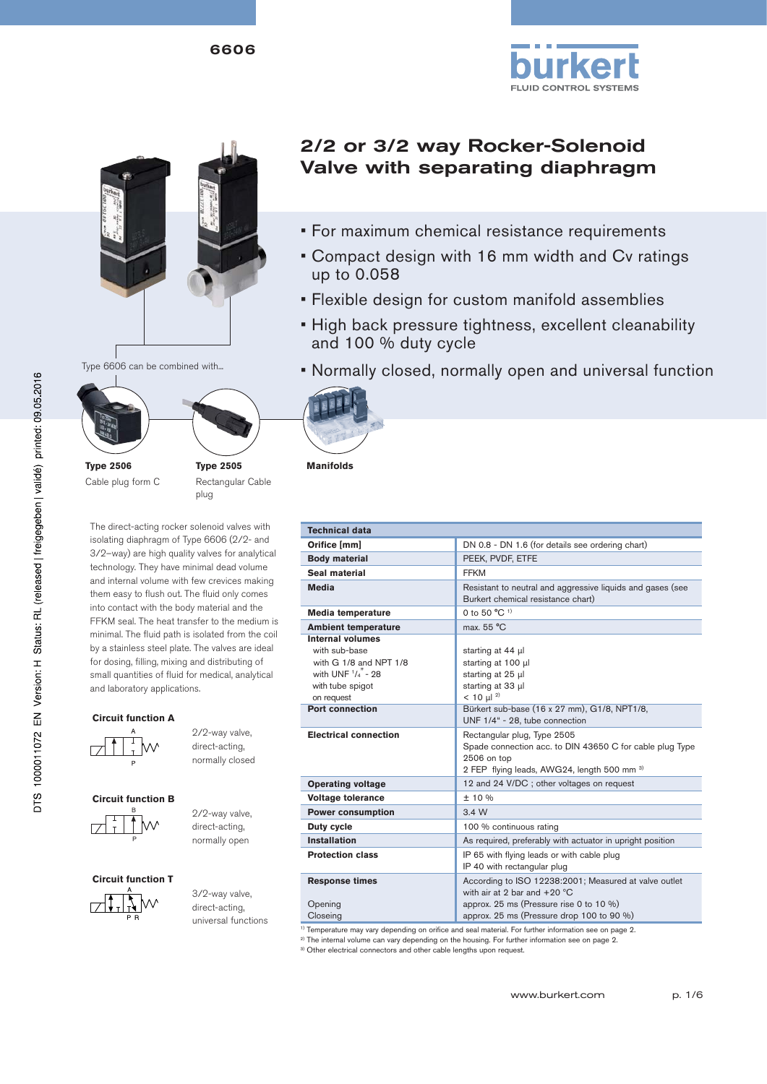6606





Type 6606 can be combined with...



Cable plug form C

**Type 2505** Rectangular Cable plug

The direct-acting rocker solenoid valves with isolating diaphragm of Type 6606 (2/2- and 3/2–way) are high quality valves for analytical technology. They have minimal dead volume and internal volume with few crevices making them easy to flush out. The fluid only comes into contact with the body material and the FFKM seal. The heat transfer to the medium is minimal. The fluid path is isolated from the coil by a stainless steel plate. The valves are ideal for dosing, filling, mixing and distributing of small quantities of fluid for medical, analytical and laboratory applications.

#### **Circuit function A**



 2/2-way valve, direct-acting, normally closed

#### **Circuit function B**

B P  2/2-way valve, direct-acting, normally open

**Circuit function T**

 3/2-way valve, direct-acting, universal functions

# 2/2 or 3/2 way Rocker-Solenoid Valve with separating diaphragm

- For maximum chemical resistance requirements
- Compact design with 16 mm width and Cv ratings up to 0.058
- Flexible design for custom manifold assemblies
- High back pressure tightness, excellent cleanability and 100 % duty cycle
- Normally closed, normally open and universal function



**Manifolds**

| <b>Technical data</b>                                                                                                                                                                             |                                                                                                                                                                                                                                                                                                                                                                     |  |  |  |
|---------------------------------------------------------------------------------------------------------------------------------------------------------------------------------------------------|---------------------------------------------------------------------------------------------------------------------------------------------------------------------------------------------------------------------------------------------------------------------------------------------------------------------------------------------------------------------|--|--|--|
| Orifice [mm]                                                                                                                                                                                      | DN 0.8 - DN 1.6 (for details see ordering chart)                                                                                                                                                                                                                                                                                                                    |  |  |  |
| <b>Body material</b>                                                                                                                                                                              | PEEK, PVDF, ETFE                                                                                                                                                                                                                                                                                                                                                    |  |  |  |
| Seal material                                                                                                                                                                                     | <b>FFKM</b>                                                                                                                                                                                                                                                                                                                                                         |  |  |  |
| <b>Media</b>                                                                                                                                                                                      | Resistant to neutral and aggressive liquids and gases (see<br>Burkert chemical resistance chart)                                                                                                                                                                                                                                                                    |  |  |  |
| Media temperature                                                                                                                                                                                 | 0 to 50 $^{\circ}$ C <sup>1)</sup>                                                                                                                                                                                                                                                                                                                                  |  |  |  |
| <b>Ambient temperature</b>                                                                                                                                                                        | max. 55 °C                                                                                                                                                                                                                                                                                                                                                          |  |  |  |
| <b>Internal volumes</b><br>with sub-base<br>with $G_1/8$ and NPT $1/8$<br>with UNF $^{1}/_{4}$ " - 28<br>with tube spigot<br>on request<br><b>Port connection</b><br><b>Electrical connection</b> | starting at 44 µl<br>starting at 100 µl<br>starting at 25 µl<br>starting at 33 µl<br>$< 10 \mu$ <sup>2)</sup><br>Bürkert sub-base (16 x 27 mm), G1/8, NPT1/8,<br>UNF 1/4" - 28, tube connection<br>Rectangular plug, Type 2505<br>Spade connection acc. to DIN 43650 C for cable plug Type<br>2506 on top<br>2 FEP flying leads, AWG24, length 500 mm <sup>3)</sup> |  |  |  |
| <b>Operating voltage</b>                                                                                                                                                                          | 12 and 24 V/DC; other voltages on request                                                                                                                                                                                                                                                                                                                           |  |  |  |
| <b>Voltage tolerance</b>                                                                                                                                                                          | ± 10%                                                                                                                                                                                                                                                                                                                                                               |  |  |  |
| <b>Power consumption</b>                                                                                                                                                                          | 3.4W                                                                                                                                                                                                                                                                                                                                                                |  |  |  |
| Duty cycle                                                                                                                                                                                        | 100 % continuous rating                                                                                                                                                                                                                                                                                                                                             |  |  |  |
| <b>Installation</b>                                                                                                                                                                               | As required, preferably with actuator in upright position                                                                                                                                                                                                                                                                                                           |  |  |  |
| <b>Protection class</b>                                                                                                                                                                           | IP 65 with flying leads or with cable plug<br>IP 40 with rectangular plug                                                                                                                                                                                                                                                                                           |  |  |  |
| <b>Response times</b><br>Opening<br>Closeing                                                                                                                                                      | According to ISO 12238:2001; Measured at valve outlet<br>with air at 2 bar and $+20$ °C<br>approx. 25 ms (Pressure rise 0 to 10 %)<br>approx. 25 ms (Pressure drop 100 to 90 %)<br><sup>1)</sup> Temperature may vary depending on orifice and seal material. For further information see on page 2                                                                 |  |  |  |

<sup>1)</sup> Temperature may vary depending on orifice and seal material. For further information see on page 2.<br><sup>2)</sup> The internal volume can vary depending on the housing. For further information see on page 2.

3) Other electrical connectors and other cable lengths upon request.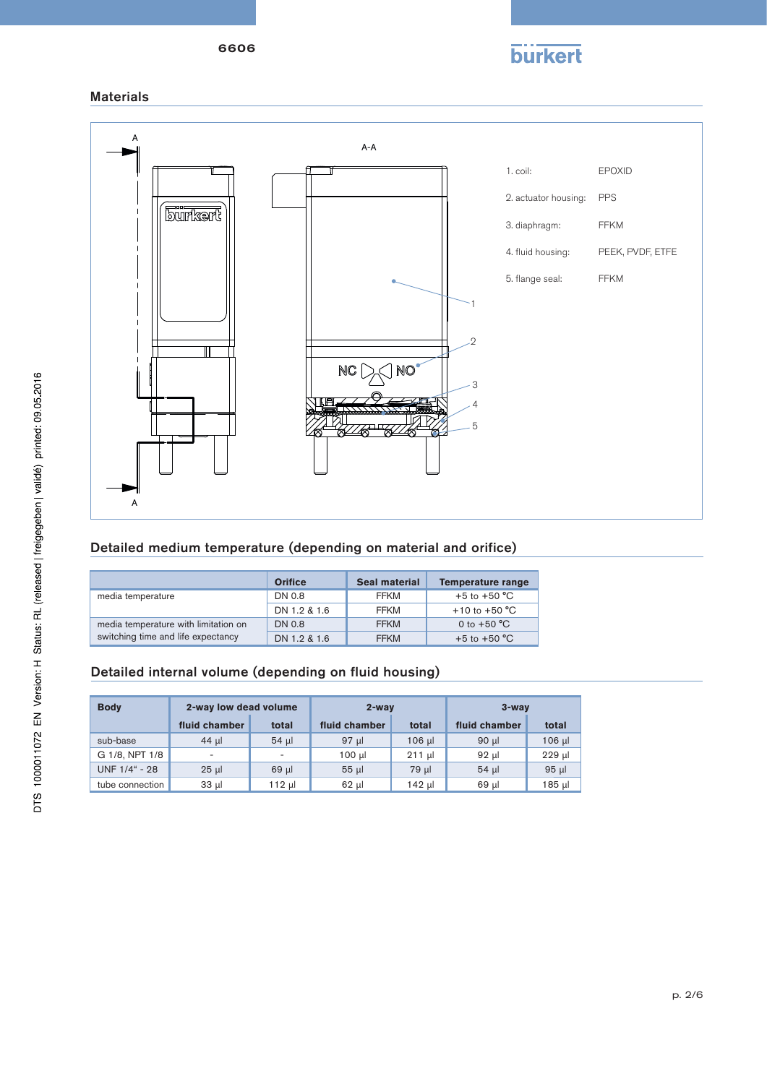

### Materials



### Detailed medium temperature (depending on material and orifice)

|                                      | <b>Orifice</b> | <b>Seal material</b> | <b>Temperature range</b> |
|--------------------------------------|----------------|----------------------|--------------------------|
| media temperature                    | DN 0.8         | FFKM                 | +5 to +50 $^{\circ}$ C   |
|                                      | DN 1.2 & 1.6   | FFKM                 | +10 to +50 $^{\circ}$ C  |
| media temperature with limitation on | DN 0.8         | <b>FFKM</b>          | 0 to $+50 °C$            |
| switching time and life expectancy   | DN 1.2 & 1.6   | <b>FFKM</b>          | $+5$ to $+50$ °C         |

### Detailed internal volume (depending on fluid housing)

| <b>Body</b>     | 2-way low dead volume |                          | $2$ -way        |             | $3 -$ wav     |          |
|-----------------|-----------------------|--------------------------|-----------------|-------------|---------------|----------|
|                 | fluid chamber         | total                    | fluid chamber   | total       | fluid chamber | total    |
| sub-base        | 44 µl                 | $54$ µ                   | 97 µl           | $106$ $\mu$ | $90 \mu$      | $106$ µ  |
| G 1/8, NPT 1/8  | ٠                     | $\overline{\phantom{a}}$ | $100 \mu$       | $211$ µ     | 92 µl         | $229$ µ  |
| UNF 1/4" - 28   | $25$ µ                | $69$ µ                   | 55 <sub>µ</sub> | 79 µl       | 54 ul         | $95 \mu$ |
| tube connection | $33 \mu$              | 112 µl                   | $62$ µ          | 142 µl      | 69 µl         | 185 µl   |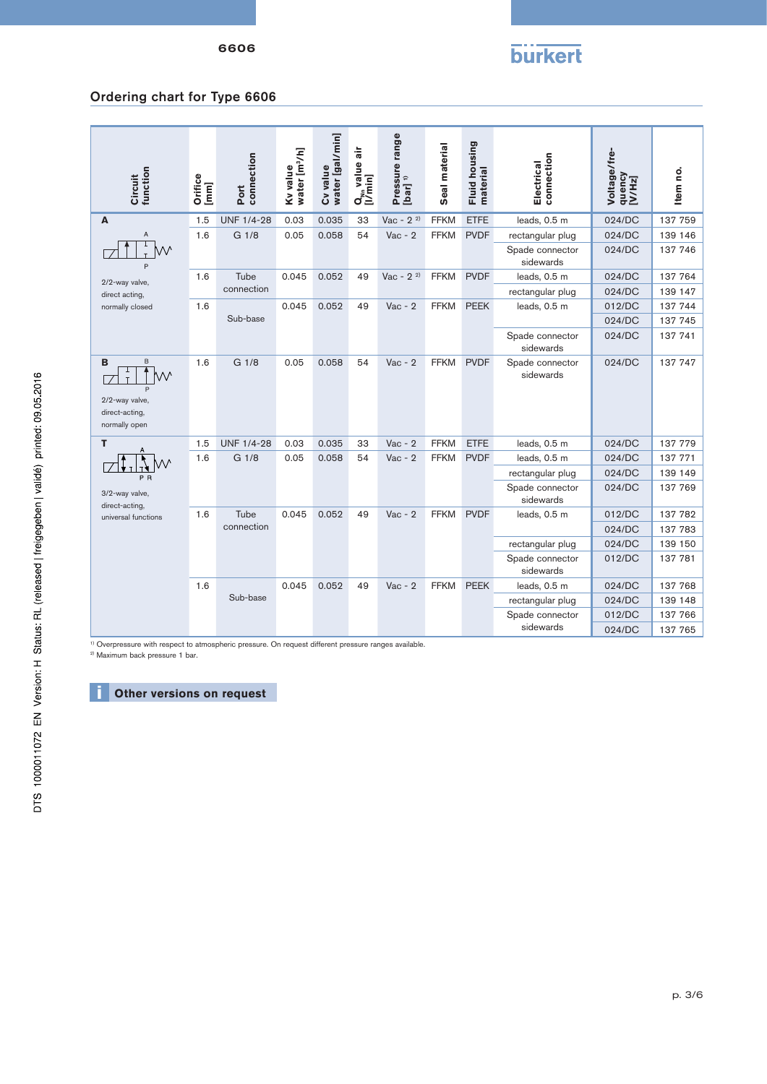6606



## Ordering chart for Type 6606

| Circuit<br>function                                         | Orifice<br>[mm] | connection<br>Port | water [m3/h]<br>Kv value | water [gal/min]<br>Cv value | air<br>value<br>Q <sub>wn</sub> valu<br>[I/min] | Pressure range<br>[bar] <sup>1)</sup> | Seal material | Fluid housing<br>material | connection<br>Electrical     | Voltage/fre-<br>quency<br>[V/Hz] | Item no. |
|-------------------------------------------------------------|-----------------|--------------------|--------------------------|-----------------------------|-------------------------------------------------|---------------------------------------|---------------|---------------------------|------------------------------|----------------------------------|----------|
| A                                                           | 1.5             | <b>UNF 1/4-28</b>  | 0.03                     | 0.035                       | 33                                              | Vac - $2^{2}$                         | <b>FFKM</b>   | <b>ETFE</b>               | leads, 0.5 m                 | 024/DC                           | 137 759  |
| A                                                           | 1.6             | G 1/8              | 0.05                     | 0.058                       | 54                                              | $Vac - 2$                             | <b>FFKM</b>   | <b>PVDF</b>               | rectangular plug             | 024/DC                           | 139 146  |
| P                                                           |                 |                    |                          |                             |                                                 |                                       |               |                           | Spade connector<br>sidewards | 024/DC                           | 137 746  |
| 2/2-way valve,                                              | 1.6             | Tube               | 0.045                    | 0.052                       | 49                                              | $Vac - 22$                            | <b>FFKM</b>   | <b>PVDF</b>               | leads, 0.5 m                 | 024/DC                           | 137 764  |
| direct acting,                                              |                 | connection         |                          |                             |                                                 |                                       |               |                           | rectangular plug             | 024/DC                           | 139 147  |
| normally closed                                             | 1.6             |                    | 0.045                    | 0.052                       | 49                                              | $Vac - 2$                             | <b>FFKM</b>   | <b>PEEK</b>               | leads, 0.5 m                 | 012/DC                           | 137 744  |
|                                                             |                 | Sub-base           |                          |                             |                                                 |                                       |               |                           |                              | 024/DC                           | 137 745  |
|                                                             |                 |                    |                          |                             |                                                 |                                       |               |                           | Spade connector<br>sidewards | 024/DC                           | 137 741  |
| B<br>B<br>2/2-way valve,<br>direct-acting,<br>normally open | 1.6             | G 1/8              | 0.05                     | 0.058                       | 54                                              | $Vac - 2$                             | <b>FFKM</b>   | <b>PVDF</b>               | Spade connector<br>sidewards | 024/DC                           | 137 747  |
| т                                                           | 1.5             | <b>UNF 1/4-28</b>  | 0.03                     | 0.035                       | 33                                              | $Vac - 2$                             | <b>FFKM</b>   | <b>ETFE</b>               | leads, 0.5 m                 | 024/DC                           | 137 779  |
|                                                             | 1.6             | G 1/8              | 0.05                     | 0.058                       | 54                                              | $Vac - 2$                             | <b>FFKM</b>   | <b>PVDF</b>               | leads, 0.5 m                 | 024/DC                           | 137 771  |
| P R                                                         |                 |                    |                          |                             |                                                 |                                       |               |                           | rectangular plug             | 024/DC                           | 139 149  |
| 3/2-way valve,<br>direct-acting,                            |                 |                    |                          |                             |                                                 |                                       |               |                           | Spade connector<br>sidewards | 024/DC                           | 137 769  |
| universal functions                                         | 1.6             | Tube               | 0.045                    | 0.052                       | 49                                              | $Vac - 2$                             | <b>FFKM</b>   | <b>PVDF</b>               | leads, 0.5 m                 | 012/DC                           | 137 782  |
|                                                             |                 | connection         |                          |                             |                                                 |                                       |               |                           |                              | 024/DC                           | 137 783  |
|                                                             |                 |                    |                          |                             |                                                 |                                       |               |                           | rectangular plug             | 024/DC                           | 139 150  |
|                                                             |                 |                    |                          |                             |                                                 |                                       |               |                           | Spade connector<br>sidewards | 012/DC                           | 137 781  |
|                                                             | 1.6             |                    | 0.045                    | 0.052                       | 49                                              | $Vac - 2$                             | <b>FFKM</b>   | <b>PEEK</b>               | leads, 0.5 m                 | 024/DC                           | 137 768  |
|                                                             |                 | Sub-base           |                          |                             |                                                 |                                       |               |                           | rectangular plug             | 024/DC                           | 139 148  |
|                                                             |                 |                    |                          |                             |                                                 |                                       |               |                           | Spade connector              | 012/DC                           | 137 766  |
|                                                             |                 |                    |                          |                             |                                                 |                                       |               |                           | sidewards                    | 024/DC                           | 137 765  |

<sup>1)</sup> Overpressure with respect to atmospheric pressure. On request different pressure ranges available.<br><sup>2)</sup> Maximum back pressure 1 bar.

# **i** Other versions on request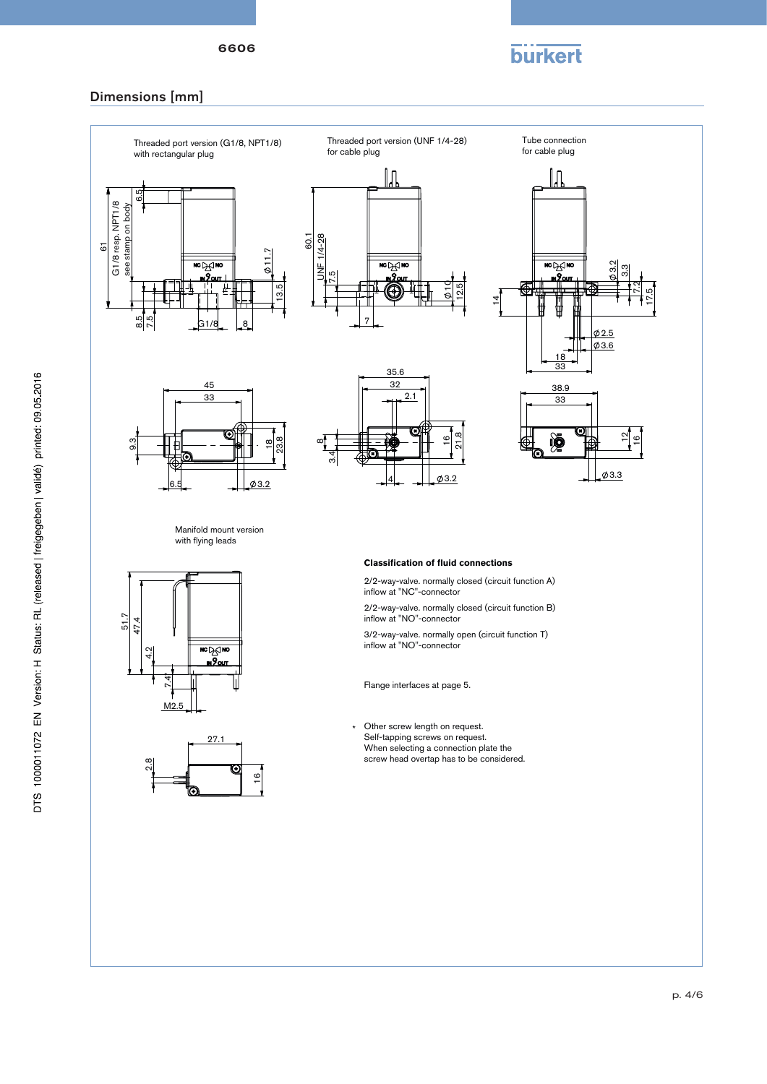

### Dimensions [mm]

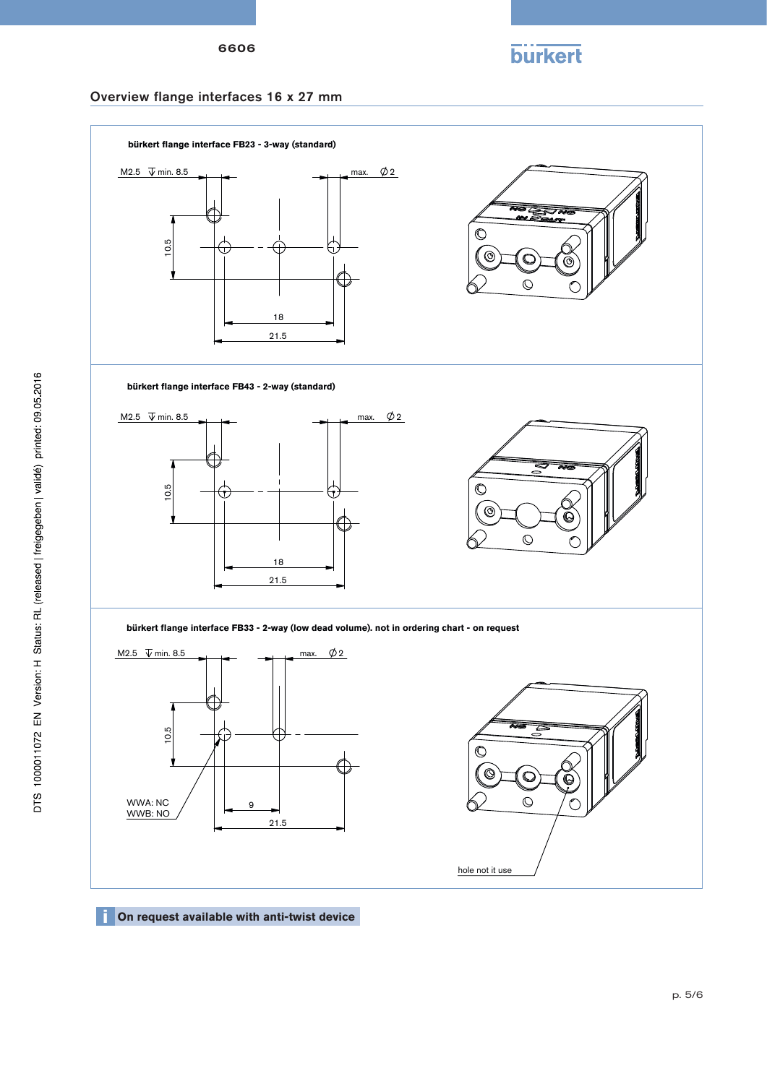

### Overview flange interfaces 16 x 27 mm



**i** On request available with anti-twist device